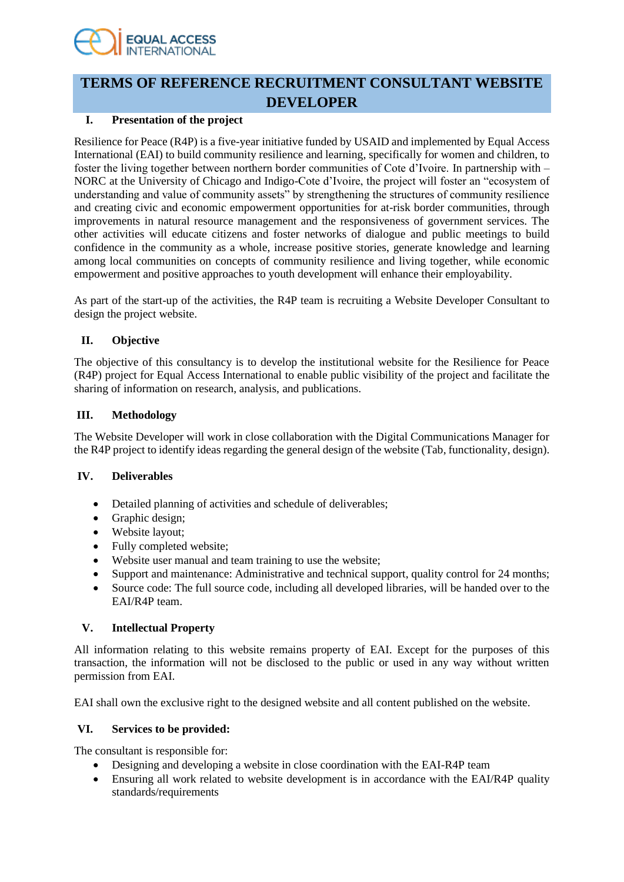# **EQUAL ACCESS**

# **TERMS OF REFERENCE RECRUITMENT CONSULTANT WEBSITE DEVELOPER**

# **I. Presentation of the project**

Resilience for Peace (R4P) is a five-year initiative funded by USAID and implemented by Equal Access International (EAI) to build community resilience and learning, specifically for women and children, to foster the living together between northern border communities of Cote d'Ivoire. In partnership with – NORC at the University of Chicago and Indigo-Cote d'Ivoire, the project will foster an "ecosystem of understanding and value of community assets" by strengthening the structures of community resilience and creating civic and economic empowerment opportunities for at-risk border communities, through improvements in natural resource management and the responsiveness of government services. The other activities will educate citizens and foster networks of dialogue and public meetings to build confidence in the community as a whole, increase positive stories, generate knowledge and learning among local communities on concepts of community resilience and living together, while economic empowerment and positive approaches to youth development will enhance their employability.

As part of the start-up of the activities, the R4P team is recruiting a Website Developer Consultant to design the project website.

# **II. Objective**

The objective of this consultancy is to develop the institutional website for the Resilience for Peace (R4P) project for Equal Access International to enable public visibility of the project and facilitate the sharing of information on research, analysis, and publications.

## **III. Methodology**

The Website Developer will work in close collaboration with the Digital Communications Manager for the R4P project to identify ideas regarding the general design of the website (Tab, functionality, design).

# **IV. Deliverables**

- Detailed planning of activities and schedule of deliverables;
- Graphic design;
- Website layout;
- Fully completed website;
- Website user manual and team training to use the website;
- Support and maintenance: Administrative and technical support, quality control for 24 months;
- Source code: The full source code, including all developed libraries, will be handed over to the EAI/R4P team.

# **V. Intellectual Property**

All information relating to this website remains property of EAI. Except for the purposes of this transaction, the information will not be disclosed to the public or used in any way without written permission from EAI.

EAI shall own the exclusive right to the designed website and all content published on the website.

# **VI. Services to be provided:**

The consultant is responsible for:

- Designing and developing a website in close coordination with the EAI-R4P team
- Ensuring all work related to website development is in accordance with the EAI/R4P quality standards/requirements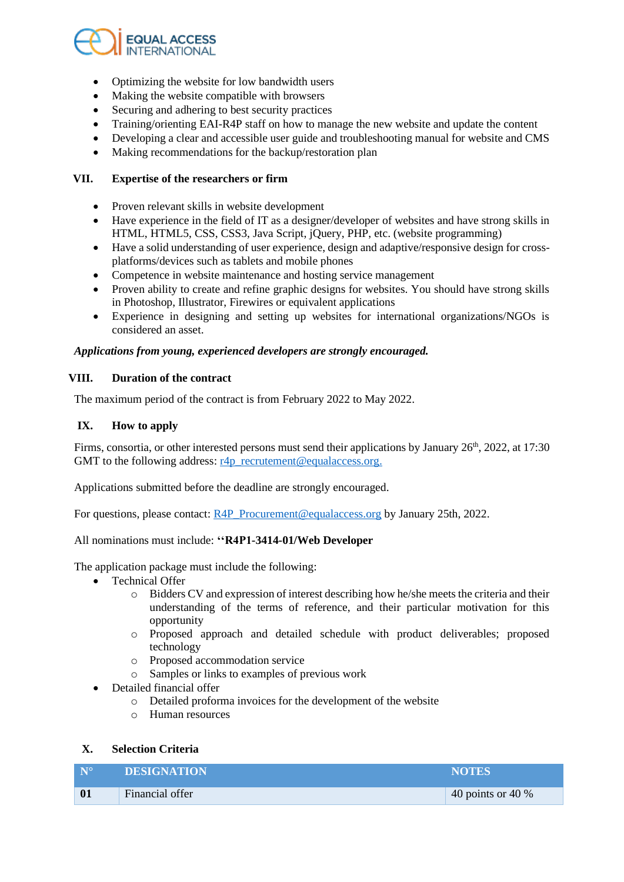

- Optimizing the website for low bandwidth users
- Making the website compatible with browsers
- Securing and adhering to best security practices
- Training/orienting EAI-R4P staff on how to manage the new website and update the content
- Developing a clear and accessible user guide and troubleshooting manual for website and CMS
- Making recommendations for the backup/restoration plan

#### **VII. Expertise of the researchers or firm**

- Proven relevant skills in website development
- Have experience in the field of IT as a designer/developer of websites and have strong skills in HTML, HTML5, CSS, CSS3, Java Script, jQuery, PHP, etc. (website programming)
- Have a solid understanding of user experience, design and adaptive/responsive design for crossplatforms/devices such as tablets and mobile phones
- Competence in website maintenance and hosting service management
- Proven ability to create and refine graphic designs for websites. You should have strong skills in Photoshop, Illustrator, Firewires or equivalent applications
- Experience in designing and setting up websites for international organizations/NGOs is considered an asset.

#### *Applications from young, experienced developers are strongly encouraged.*

#### **VIII. Duration of the contract**

The maximum period of the contract is from February 2022 to May 2022.

#### **IX. How to apply**

Firms, consortia, or other interested persons must send their applications by January 26<sup>th</sup>, 2022, at 17:30 GMT to the following address:  $r4p$ \_recrutement@equalaccess.org.

Applications submitted before the deadline are strongly encouraged.

For questions, please contact[: R4P\\_Procurement@equalaccess.org](mailto:R4P_Procurement@equalaccess.org) by January 25th, 2022.

#### All nominations must include: **''R4P1-3414-01/Web Developer**

The application package must include the following:

- Technical Offer
	- o Bidders CV and expression of interest describing how he/she meets the criteria and their understanding of the terms of reference, and their particular motivation for this opportunity
	- o Proposed approach and detailed schedule with product deliverables; proposed technology
	- o Proposed accommodation service
	- o Samples or links to examples of previous work
- Detailed financial offer
	- o Detailed proforma invoices for the development of the website
	- o Human resources

#### **X. Selection Criteria**

| N <sup>o</sup> | <b>DESIGNATION</b> | <b>NOTES</b>         |
|----------------|--------------------|----------------------|
| 01             | Financial offer    | 40 points or 40 $\%$ |